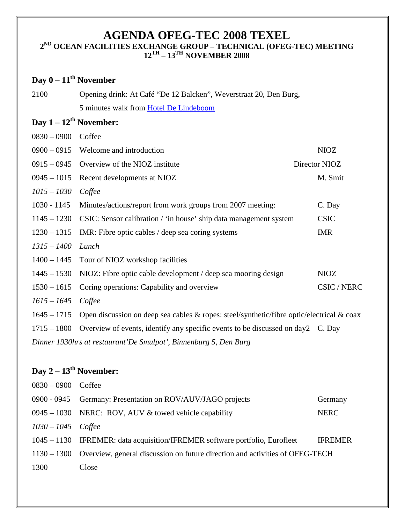### **AGENDA OFEG-TEC 2008 TEXEL 2ND OCEAN FACILITIES EXCHANGE GROUP – TECHNICAL (OFEG-TEC) MEETING 12TH – 13TH NOVEMBER 2008**

## **Day 0 – 11th November**

| 2100 | Opening drink: At Café "De 12 Balcken", Weverstraat 20, Den Burg, |
|------|-------------------------------------------------------------------|
|      | 5 minutes walk from Hotel De Lindeboom                            |

### **Day 1 – 12th November:**

| $0900 - 0915$                                                    | Welcome and introduction                                                                  |  | <b>NIOZ</b>   |  |
|------------------------------------------------------------------|-------------------------------------------------------------------------------------------|--|---------------|--|
| $0915 - 0945$                                                    | Overview of the NIOZ institute                                                            |  | Director NIOZ |  |
| $0945 - 1015$                                                    | Recent developments at NIOZ                                                               |  | M. Smit       |  |
| $1015 - 1030$                                                    | Coffee                                                                                    |  |               |  |
| $1030 - 1145$                                                    | Minutes/actions/report from work groups from 2007 meeting:                                |  | C. Day        |  |
| $1145 - 1230$                                                    | CSIC: Sensor calibration / 'in house' ship data management system                         |  | <b>CSIC</b>   |  |
| $1230 - 1315$                                                    | IMR: Fibre optic cables / deep sea coring systems                                         |  | <b>IMR</b>    |  |
| $1315 - 1400$                                                    | Lunch                                                                                     |  |               |  |
|                                                                  | 1400 – 1445 Tour of NIOZ workshop facilities                                              |  |               |  |
| $1445 - 1530$                                                    | NIOZ: Fibre optic cable development / deep sea mooring design                             |  | <b>NIOZ</b>   |  |
| $1530 - 1615$                                                    | Coring operations: Capability and overview                                                |  | CSIC / NERC   |  |
| $1615 - 1645$                                                    | Coffee                                                                                    |  |               |  |
| $1645 - 1715$                                                    | Open discussion on deep sea cables & ropes: steel/synthetic/fibre optic/electrical & coax |  |               |  |
| $1715 - 1800$                                                    | Overview of events, identify any specific events to be discussed on day2 C. Day           |  |               |  |
| Dinner 1930hrs at restaurant'De Smulpot', Binnenburg 5, Den Burg |                                                                                           |  |               |  |
|                                                                  |                                                                                           |  |               |  |

# **Day 2 – 13th November:**

| $0830 - 0900$ Coffee |                                                                                          |                |
|----------------------|------------------------------------------------------------------------------------------|----------------|
|                      | 0900 - 0945 Germany: Presentation on ROV/AUV/JAGO projects                               | Germany        |
|                      | $0945 - 1030$ NERC: ROV, AUV & towed vehicle capability                                  | <b>NERC</b>    |
| $1030 - 1045$ Coffee |                                                                                          |                |
|                      | 1045 – 1130 IFREMER: data acquisition/IFREMER software portfolio, Eurofleet              | <b>IFREMER</b> |
|                      | 1130 – 1300 Overview, general discussion on future direction and activities of OFEG-TECH |                |
| 1300                 | Close                                                                                    |                |